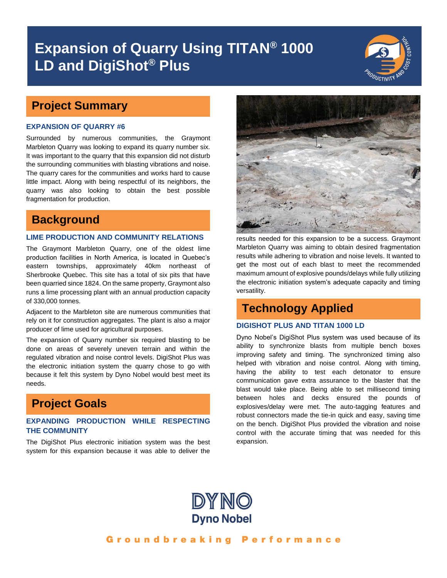# **Expansion of Quarry Using TITAN® 1000 LD and DigiShot® Plus**



## **Project Summary**

#### **EXPANSION OF QUARRY #6**

Surrounded by numerous communities, the Graymont Marbleton Quarry was looking to expand its quarry number six. It was important to the quarry that this expansion did not disturb the surrounding communities with blasting vibrations and noise. The quarry cares for the communities and works hard to cause little impact. Along with being respectful of its neighbors, the quarry was also looking to obtain the best possible fragmentation for production.

## **Background**

#### **LIME PRODUCTION AND COMMUNITY RELATIONS**

The Graymont Marbleton Quarry, one of the oldest lime production facilities in North America, is located in Quebec's eastern townships, approximately 40km northeast of Sherbrooke Quebec. This site has a total of six pits that have been quarried since 1824. On the same property, Graymont also runs a lime processing plant with an annual production capacity of 330,000 tonnes.

Adjacent to the Marbleton site are numerous communities that rely on it for construction aggregates. The plant is also a major producer of lime used for agricultural purposes.

The expansion of Quarry number six required blasting to be done on areas of severely uneven terrain and within the regulated vibration and noise control levels. DigiShot Plus was the electronic initiation system the quarry chose to go with because it felt this system by Dyno Nobel would best meet its needs.

## **Project Goals**

### **EXPANDING PRODUCTION WHILE RESPECTING THE COMMUNITY**

The DigiShot Plus electronic initiation system was the best system for this expansion because it was able to deliver the



results needed for this expansion to be a success. Graymont Marbleton Quarry was aiming to obtain desired fragmentation results while adhering to vibration and noise levels. It wanted to get the most out of each blast to meet the recommended maximum amount of explosive pounds/delays while fully utilizing the electronic initiation system's adequate capacity and timing versatility.

## **Technology Applied**

### **DIGISHOT PLUS AND TITAN 1000 LD**

Dyno Nobel's DigiShot Plus system was used because of its ability to synchronize blasts from multiple bench boxes improving safety and timing. The synchronized timing also helped with vibration and noise control. Along with timing, having the ability to test each detonator to ensure communication gave extra assurance to the blaster that the blast would take place. Being able to set millisecond timing between holes and decks ensured the pounds of explosives/delay were met. The auto-tagging features and robust connectors made the tie-in quick and easy, saving time on the bench. DigiShot Plus provided the vibration and noise control with the accurate timing that was needed for this expansion.